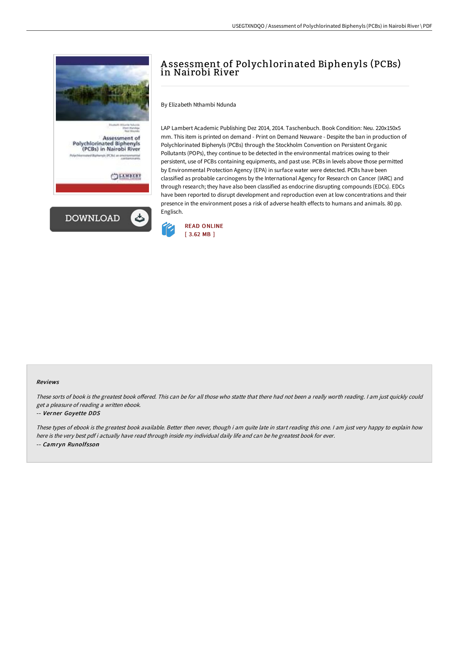

## A ssessment of Polychlorinated Biphenyls (PCBs) in Nairobi River

By Elizabeth Nthambi Ndunda

LAP Lambert Academic Publishing Dez 2014, 2014. Taschenbuch. Book Condition: Neu. 220x150x5 mm. This item is printed on demand - Print on Demand Neuware - Despite the ban in production of Polychlorinated Biphenyls (PCBs) through the Stockholm Convention on Persistent Organic Pollutants (POPs), they continue to be detected in the environmental matrices owing to their persistent, use of PCBs containing equipments, and past use. PCBs in levels above those permitted by Environmental Protection Agency (EPA) in surface water were detected. PCBs have been classified as probable carcinogens by the International Agency for Research on Cancer (IARC) and through research; they have also been classified as endocrine disrupting compounds (EDCs). EDCs have been reported to disrupt development and reproduction even at low concentrations and their presence in the environment poses a risk of adverse health effects to humans and animals. 80 pp. Englisch.



## Reviews

These sorts of book is the greatest book offered. This can be for all those who statte that there had not been a really worth reading. I am just quickly could get <sup>a</sup> pleasure of reading <sup>a</sup> written ebook.

## -- Verner Goyette DDS

These types of ebook is the greatest book available. Better then never, though i am quite late in start reading this one. <sup>I</sup> am just very happy to explain how here is the very best pdf i actually have read through inside my individual daily life and can be he greatest book for ever. -- Camryn Runolfsson